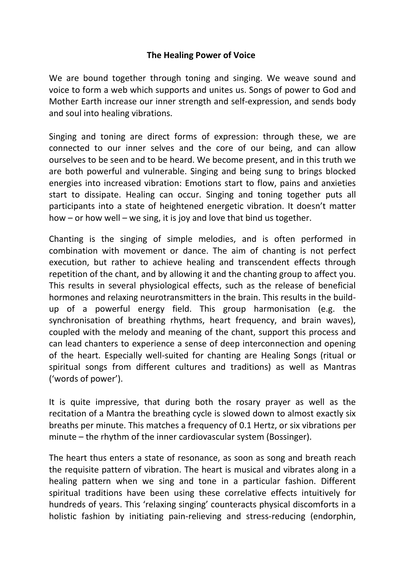## **The Healing Power of Voice**

We are bound together through toning and singing. We weave sound and voice to form a web which supports and unites us. Songs of power to God and Mother Earth increase our inner strength and self-expression, and sends body and soul into healing vibrations.

Singing and toning are direct forms of expression: through these, we are connected to our inner selves and the core of our being, and can allow ourselves to be seen and to be heard. We become present, and in this truth we are both powerful and vulnerable. Singing and being sung to brings blocked energies into increased vibration: Emotions start to flow, pains and anxieties start to dissipate. Healing can occur. Singing and toning together puts all participants into a state of heightened energetic vibration. It doesn't matter how – or how well – we sing, it is joy and love that bind us together.

Chanting is the singing of simple melodies, and is often performed in combination with movement or dance. The aim of chanting is not perfect execution, but rather to achieve healing and transcendent effects through repetition of the chant, and by allowing it and the chanting group to affect you. This results in several physiological effects, such as the release of beneficial hormones and relaxing neurotransmitters in the brain. This results in the buildup of a powerful energy field. This group harmonisation (e.g. the synchronisation of breathing rhythms, heart frequency, and brain waves), coupled with the melody and meaning of the chant, support this process and can lead chanters to experience a sense of deep interconnection and opening of the heart. Especially well-suited for chanting are Healing Songs (ritual or spiritual songs from different cultures and traditions) as well as Mantras ('words of power').

It is quite impressive, that during both the rosary prayer as well as the recitation of a Mantra the breathing cycle is slowed down to almost exactly six breaths per minute. This matches a frequency of 0.1 Hertz, or six vibrations per minute – the rhythm of the inner cardiovascular system (Bossinger).

The heart thus enters a state of resonance, as soon as song and breath reach the requisite pattern of vibration. The heart is musical and vibrates along in a healing pattern when we sing and tone in a particular fashion. Different spiritual traditions have been using these correlative effects intuitively for hundreds of years. This 'relaxing singing' counteracts physical discomforts in a holistic fashion by initiating pain-relieving and stress-reducing (endorphin,